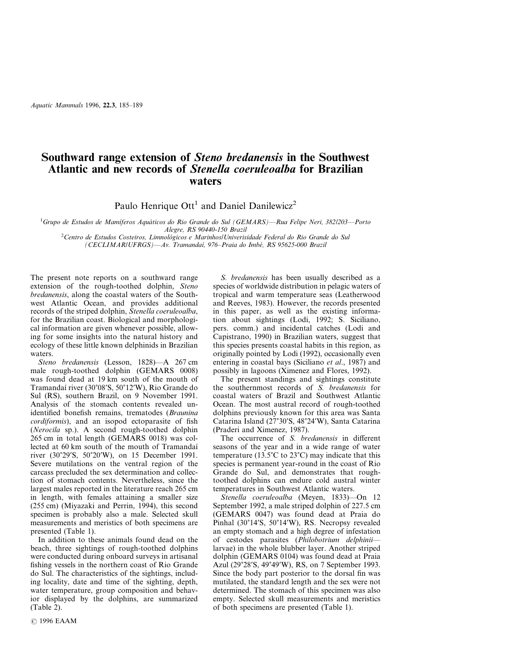*Aquatic Mammals* 1996, **22.3**, 185–189

## **Southward range extension of** *Steno bredanensis* **in the Southwest Atlantic and new records of** *Stenella coeruleoalba* **for Brazilian waters**

Paulo Henrique Ott<sup>1</sup> and Daniel Danilewicz<sup>2</sup>

1 *Grupo de Estudos de Mamı´feros Aquáticos do Rio Grande do Sul (GEMARS)—Rua Felipe Neri, 382/203—Porto Alegre, RS 90440-150 Brazil* <sup>2</sup> *Centro de Estudos Costeiros, Limnológicos e Marinhos/Univerisidade Federal do Rio Grande do Sul*

*(CECLIMAR/UFRGS)—Av. Tramandaı´, 976–Praia do Imbé, RS 95625-000 Brazil*

The present note reports on a southward range extension of the rough-toothed dolphin, *Steno bredanensis*, along the coastal waters of the Southwest Atlantic Ocean, and provides additional records of the striped dolphin, *Stenella coeruleoalba*, for the Brazilian coast. Biological and morphological information are given whenever possible, allowing for some insights into the natural history and ecology of these little known delphinids in Brazilian waters.

*Steno bredanensis* (Lesson, 1828)—A 267 cm male rough-toothed dolphin (GEMARS 0008) was found dead at 19 km south of the mouth of Tramandaí river (30°08'S, 50°12'W), Rio Grande do Sul (RS), southern Brazil, on 9 November 1991. Analysis of the stomach contents revealed unidentified bonefish remains, trematodes (*Braunina cordiformis*), and an isopod ectoparasite of fish (*Nerocila* sp.). A second rough-toothed dolphin 265 cm in total length (GEMARS 0018) was collected at 60 km south of the mouth of Tramandaı´ river (30°29′S, 50°20′W), on 15 December 1991. Severe mutilations on the ventral region of the carcass precluded the sex determination and collection of stomach contents. Nevertheless, since the largest males reported in the literature reach 265 cm in length, with females attaining a smaller size (255 cm) (Miyazaki and Perrin, 1994), this second specimen is probably also a male. Selected skull measurements and meristics of both specimens are presented (Table 1).

In addition to these animals found dead on the beach, three sightings of rough-toothed dolphins were conducted during onboard surveys in artisanal fishing vessels in the northern coast of Rio Grande do Sul. The characteristics of the sightings, including locality, date and time of the sighting, depth, water temperature, group composition and behavior displayed by the dolphins, are summarized (Table 2).

1996 EAAM

*S. bredanensis* has been usually described as a species of worldwide distribution in pelagic waters of tropical and warm temperature seas (Leatherwood and Reeves, 1983). However, the records presented in this paper, as well as the existing information about sightings (Lodi, 1992; S. Siciliano, pers. comm.) and incidental catches (Lodi and Capistrano, 1990) in Brazilian waters, suggest that this species presents coastal habits in this region, as originally pointed by Lodi (1992), occasionally even entering in coastal bays (Siciliano *et al*., 1987) and possibly in lagoons (Ximenez and Flores, 1992).

The present standings and sightings constitute the southernmost records of *S. bredanensis* for coastal waters of Brazil and Southwest Atlantic Ocean. The most austral record of rough-toothed dolphins previously known for this area was Santa Catarina Island (27°30'S, 48°24'W), Santa Catarina (Praderi and Ximenez, 1987).

The occurrence of *S. bredanensis* in different seasons of the year and in a wide range of water temperature (13.5 $^{\circ}$ C to 23 $^{\circ}$ C) may indicate that this species is permanent year-round in the coast of Rio Grande do Sul, and demonstrates that roughtoothed dolphins can endure cold austral winter temperatures in Southwest Atlantic waters.

*Stenella coeruleoalba* (Meyen, 1833)—On 12 September 1992, a male striped dolphin of 227.5 cm (GEMARS 0047) was found dead at Praia do Pinhal (30°14'S, 50°14'W), RS. Necropsy revealed an empty stomach and a high degree of infestation of cestodes parasites (*Philobotrium delphinii* larvae) in the whole blubber layer. Another striped dolphin (GEMARS 0104) was found dead at Praia Azul (29°28′S, 49°49′W), RS, on 7 September 1993. Since the body part posterior to the dorsal fin was mutilated, the standard length and the sex were not determined. The stomach of this specimen was also empty. Selected skull measurements and meristics of both specimens are presented (Table 1).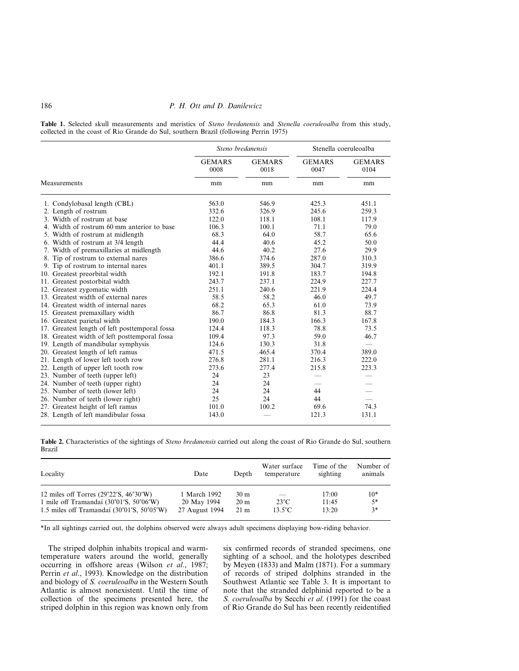## 186 *P. H. Ott and D. Danilewicz*

**Table 1.** Selected skull measurements and meristics of *Steno bredanensis* and *Stenella coeruleoalba* from this study, collected in the coast of Rio Grande do Sul, southern Brazil (following Perrin 1975)

|                                                |                       | Steno bredanensis     |                       | Stenella coeruleoalba    |
|------------------------------------------------|-----------------------|-----------------------|-----------------------|--------------------------|
|                                                | <b>GEMARS</b><br>0008 | <b>GEMARS</b><br>0018 | <b>GEMARS</b><br>0047 | <b>GEMARS</b><br>0104    |
| Measurements                                   | mm                    | mm                    | mm                    | mm                       |
| 1. Condylobasal length (CBL)                   | 563.0                 | 546.9                 | 425.3                 | 451.1                    |
| 2. Length of rostrum                           | 332.6                 | 326.9                 | 245.6                 | 259.3                    |
| 3. Width of rostrum at base                    | 122.0                 | 118.1                 | 108.1                 | 117.9                    |
| 4. Width of rostrum 60 mm anterior to base     | 106.3                 | 100.1                 | 71.1                  | 79.0                     |
| 5. Width of rostrum at midlength               | 68.3                  | 64.0                  | 58.7                  | 65.6                     |
| 6. Width of rostrum at 3/4 length              | 44.4                  | 40.6                  | 45.2                  | 50.0                     |
| 7. Width of premaxillaries at midlength        | 44.6                  | 40.2                  | 27.6                  | 29.9                     |
| 8. Tip of rostrum to external nares            | 386.6                 | 374.6                 | 287.0                 | 310.3                    |
| 9. Tip of rostrum to internal nares            | 401.1                 | 389.5                 | 304.7                 | 319.9                    |
| 10. Greatest preorbital width                  | 192.1                 | 191.8                 | 183.7                 | 194.8                    |
| 11. Greatest postorbital width                 | 243.7                 | 237.1                 | 224.9                 | 227.7                    |
| 12. Greatest zygomatic width                   | 251.1                 | 240.6                 | 221.9                 | 224.4                    |
| 13. Greatest width of external nares           | 58.5                  | 58.2                  | 46.0                  | 49.7                     |
| 14. Greatest width of internal nares           | 68.2                  | 65.3                  | 61.0                  | 73.9                     |
| 15. Greatest premaxillary width                | 86.7                  | 86.8                  | 81.3                  | 88.7                     |
| 16. Greatest parietal width                    | 190.0                 | 184.3                 | 166.3                 | 167.8                    |
| 17. Greatest length of left posttemporal fossa | 124.4                 | 118.3                 | 78.8                  | 73.5                     |
| 18. Greatest width of left posttemporal fossa  | 109.4                 | 97.3                  | 59.0                  | 46.7                     |
| 19. Length of mandibular symphysis             | 124.6                 | 130.3                 | 31.8                  | $\overline{\phantom{0}}$ |
| 20. Greatest length of left ramus              | 471.5                 | 465.4                 | 370.4                 | 389.0                    |
| 21. Length of lower left tooth row             | 276.8                 | 281.1                 | 216.3                 | 222.0                    |
| 22. Length of upper left tooth row             | 273.6                 | 277.4                 | 215.8                 | 223.3                    |
| 23. Number of teeth (upper left)               | 24                    | 23                    |                       |                          |
| 24. Number of teeth (upper right)              | 24                    | 24                    |                       |                          |
| 25. Number of teeth (lower left)               | 24                    | 24                    | 44                    |                          |
| 26. Number of teeth (lower right)              | 25                    | 24                    | 44                    |                          |
| 27. Greatest height of left ramus              | 101.0                 | 100.2                 | 69.6                  | 74.3                     |
| 28. Length of left mandibular fossa            | 143.0                 |                       | 121.3                 | 131.1                    |

|        | Table 2. Characteristics of the sightings of Steno bredanensis carried out along the coast of Rio Grande do Sul, southern |  |  |  |  |  |  |
|--------|---------------------------------------------------------------------------------------------------------------------------|--|--|--|--|--|--|
| Brazil |                                                                                                                           |  |  |  |  |  |  |

| Locality                                                                   | Date           | Depth           | Water surface<br>temperature    | Time of the<br>sighting | Number of<br>animals |
|----------------------------------------------------------------------------|----------------|-----------------|---------------------------------|-------------------------|----------------------|
| 12 miles off Torres $(29°22'S, 46°30'W)$                                   | 1 March 1992   | 30 <sub>m</sub> | $\overbrace{\qquad \qquad }^{}$ | 17:00                   | $10*$                |
| 1 mile off Tramandaí (30°01'S, 50°06'W)                                    | 20 May 1994    | 20 <sub>m</sub> | $23^{\circ}$ C                  | 11:45                   | 5*                   |
| 1.5 miles off Tramandaí $(30^{\circ}01^{\prime}S, 50^{\circ}05^{\prime}W)$ | 27 August 1994 | 21 <sub>m</sub> | $13.5^{\circ}$ C                | 13:20                   | 3*                   |

\*In all sightings carried out, the dolphins observed were always adult specimens displaying bow-riding behavior.

The striped dolphin inhabits tropical and warmtemperature waters around the world, generally occurring in offshore areas (Wilson *et al*., 1987; Perrin *et al*., 1993). Knowledge on the distribution and biology of *S. coeruleoalba* in the Western South Atlantic is almost nonexistent. Until the time of collection of the specimens presented here, the striped dolphin in this region was known only from six confirmed records of stranded specimens, one sighting of a school, and the holotypes described by Meyen (1833) and Malm (1871). For a summary of records of striped dolphins stranded in the Southwest Atlantic see Table 3. It is important to note that the stranded delphinid reported to be a *S. coeruleoalba* by Secchi *et al*. (1991) for the coast of Rio Grande do Sul has been recently reidentified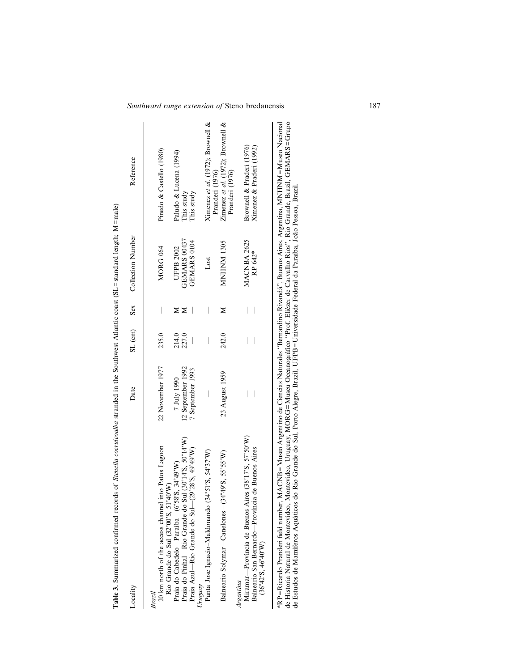| Locality                                                                                                                                                                                                                       | Date                             |                |   | SL (cm) Sex Collection Number | Reference                                                                  |
|--------------------------------------------------------------------------------------------------------------------------------------------------------------------------------------------------------------------------------|----------------------------------|----------------|---|-------------------------------|----------------------------------------------------------------------------|
| 20 km north of the access channel into Patos Lagoon<br>Brazil                                                                                                                                                                  | 22 November 1977                 | 235.0          |   | MORG 064                      | Pinedo & Castello (1980)                                                   |
| Praia do Pinhal-Rio Grande do Sul (30°14'S, 50°14'W)<br>Praia do Cabedelo—Paraíba—(6°58'S, 34°49'W)<br>Rio Grande do Sul (32°00'S, 51°40'W)                                                                                    | 12 September 1992<br>7 July 1990 | 214.0<br>227.0 | ⋝ | GEMARS 00437<br>UFPB 2002     | Paludo & Lucena (1994)<br>This study                                       |
| Praia Azul-Rio Grande do Sul-(29°28'S, 49°49'W)                                                                                                                                                                                | 7 September 1993                 |                |   | GEMARS 0104                   | This study                                                                 |
| $(34°51'$ S, $54°37'$ W)<br>Punta Jose Ignacio-Maldonando<br>Uruguay                                                                                                                                                           |                                  |                |   | Lost                          | Ximenez et al. $(1972)$ ; Brownell &                                       |
| $(34^{\circ}49^{\prime}S, 55^{\circ}55^{\prime}W)$<br>Balneario Solymar-Canelones-                                                                                                                                             | 23 August 1959                   | 242.0          | ⋝ | <b>MNHNM1305</b>              | Zimenez et al. (1972); Brownell $\&$<br>Pranderi (1976)<br>Pranderi (1976) |
| Miramar—Província de Buenos Aires (38°17'S, 57°50'W)<br>Balneario San Bernardo-Província de Buenos Aires<br>(36°42'S, 46°40'W)<br>Argentina                                                                                    |                                  |                |   | MACNBA 2625<br>RP 642*        | Brownell & Praderi (1976)<br>Ximenez & Praderi (1992)                      |
| laws in the first strategy of ACNTD - MACNTD According to the contraction of the contraction of the contract of the contract of the contract of the contract of the contract of the contract of the contract of the contract o |                                  |                |   |                               |                                                                            |

Table 3. Summarized confirmed records of Stenella coeruleoalba stranded in the Southwest Atlantic coast (SL=standard length; M=male) **Table 3.** Summarized confirmed records of *Stenella coeruleoalba* stranded in the Southwest Atlantic coast (SL=standard length; M=male)

\*RP=Ricardo Pranderi field number, MACNB=Museo Argentino de Ciencias Naturales "Bernardino Rivandá", Buenos Aires, Argentina, MNHNM=Museo Nacional<br>de Historia Natural de Montevideo, Montevideo, Uruguay, MORG=Museu Oceanogr \*RP=Ricardo Pranderi field number, MACNB=Museo Argentino de Ciencias Naturales ''Bernardino Rivandá'', Buenos Aires, Argentina, MNHNM=Museo Nacional de Historia Natural de Montevideo, Montevideo, Uruguay, MORG=Museu Oceanográfico ''Prof. Eliézer de Carvalho Rios'', Rio Grande, Brazil, GEMARS=Grupo de Estudos de Mamı´feros Aquáticos do Rio Grande do Sul, Porto Alegre, Brazil, UFPB=Universidade Federal da Paraı´ba, João Pessoa, Brazil.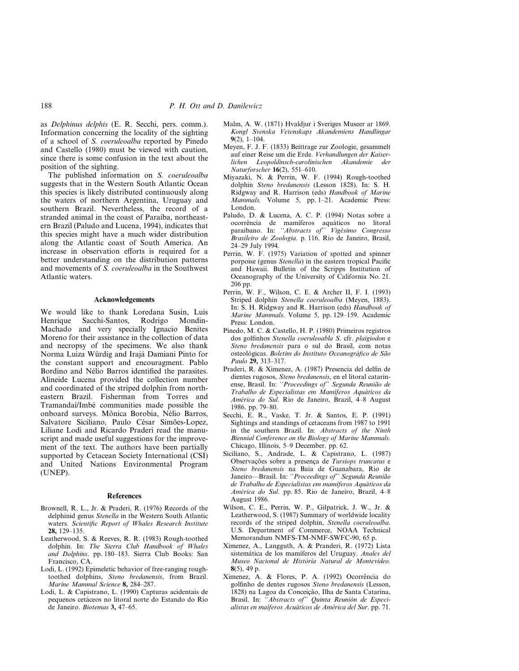as *Delphinus delphis* (E. R. Secchi, pers. comm.). Information concerning the locality of the sighting of a school of *S. coeruleoalba* reported by Pinedo and Castello (1980) must be viewed with caution, since there is some confusion in the text about the position of the sighting.

The published information on *S. coeruleoalba* suggests that in the Western South Atlantic Ocean this species is likely distributed continuously along the waters of northern Argentina, Uruguay and southern Brazil. Nevertheless, the record of a stranded animal in the coast of Paraíba, northeastern Brazil (Paludo and Lucena, 1994), indicates that this species might have a much wider distribution along the Atlantic coast of South America. An increase in observation efforts is required for a better understanding on the distribution patterns and movements of *S. coeruleoalba* in the Southwest Atlantic waters.

## **Acknowledgements**

We would like to thank Loredana Susin, Luis Henrique Sacchi-Santos, Rodrigo Mondin-Machado and very specially Ignacio Benites Moreno for their assistance in the collection of data and necropsy of the specimens. We also thank Norma Luiza Würdig and Irajá Damiani Pinto for the constant support and encouragment. Pablo Bordino and Nélio Barros identified the parasites. Alineide Lucena provided the collection number and coordinated of the striped dolphin from northeastern Brazil. Fisherman from Torres and Tramandaı´/Imbé communities made possible the onboard surveys. Mônica Borobia, Nélio Barros, Salvatore Siciliano, Paulo César Simões-Lopez, Liliane Lodi and Ricardo Praderi read the manuscript and made useful suggestions for the improvement of the text. The authors have been partially supported by Cetacean Society International (CSI) and United Nations Environmental Program (UNEP).

## **References**

- Brownell, R. L., Jr. & Praderi, R. (1976) Records of the delphinid genus *Stenella* in the Western South Atlantic waters. *Scientific Report of Whales Research Institute* **28,** 129–135.
- Leatherwood, S. & Reeves, R. R. (1983) Rough-toothed dolphin. In: *The Sierra Club Handbook of Whales and Dolphins*. pp. 180–183. Sierra Club Books: San Francisco, CA.
- Lodi, L. (1992) Epimeletic behavior of free-ranging roughtoothed dolphins, *Steno bredanensis*, from Brazil. *Marine Mammal Science* **8,** 284–287.
- Lodi, L. & Capistrano, L. (1990) Capturas acidentais de pequenos cetáceos no litoral norte do Estando do Rio de Janeiro. *Biotemas* **3,** 47–65.
- Malm, A. W. (1871) Hvaldjur i Sveriges Museer ar 1869. *Kongl Svenska Vetenskaps Akandemiens Handlingar* **9**(2), 1–104.
- Meyen, F. J. F. (1833) Beittrage zur Zoologie, gesammelt auf einer Reise um die Erde. *Verhandlungen der Kaiserlichen Leopoldinsch-carolinischen Akandemie der Naturforscher* **16**(2), 551–610.
- Miyazaki, N. & Perrin, W. F. (1994) Rough-toothed dolphin *Steno bredanensis* (Lesson 1828). In: S. H. Ridgway and R. Harrison (eds) *Handbook of Marine Mammals.* Volume 5, pp. 1–21. Academic Press: London.
- Paludo, D. & Lucena, A. C. P. (1994) Notas sobre a ocorrência de mamı´feros aquáticos no litoral paraibano. In: *''Abstracts of'' Vigésimo Congresso Brasileiro de Zoologia*. p. 116. Rio de Janeiro, Brasil, 24–29 July 1994.
- Perrin, W. F. (1975) Variation of spotted and spinner porpoise (genus *Stenella*) in the eastern tropical Pacific and Hawaii. Bulletin of the Scripps Institution of Oceanography of the University of California No. 21. 206 pp.
- Perrin, W. F., Wilson, C. E. & Archer II, F. I. (1993) Striped dolphin *Stenella coeruleoalba* (Meyen, 1883). In: S. H. Ridgway and R. Harrison (eds) *Handbook of Marine Mammals*. Volume 5, pp. 129–159. Academic Press: London.
- Pinedo, M. C. & Castello, H. P. (1980) Primeiros registros dos golfinhos *Stenella coeruleoabla S*. cfr. *plaigiodon* e *Steno bredanensis* para o sul do Brasil, com notas osteológicas. *Boletim do Instituto Oceanográfico de São Paulo* **29,** 313–317.
- Praderi, R. & Ximenez, A. (1987) Presencia del delfin de dientes rugosos, *Steno bredanensis*, en el litoral catarinense, Brasil. In: *''Proceedings of'' Segunda Reunião de Trabalho de Especialistas em Mamı´feros Aquáticos da América do Sul*. Rio de Janeiro, Brazil, 4–8 August 1986. pp. 79–80.
- Secchi, E. R., Vaske, T. Jr. & Santos, E. P. (1991) Sightings and standings of cetaceans from 1987 to 1991 in the southern Brazil. In: *Abstracts of the Ninth Biennial Conference on the Biology of Marine Mammals*. Chicago, Illinois, 5–9 December. pp. 62.
- Siciliano, S., Andrade, L. & Capistrano, L. (1987) Observações sobre a presença de *Tursiops truncatus* e *Steno bredanensis* na Baia de Guanabara, Rio de Janeiro—Brasil. In: *''Proceedings of'' Segunda Reunião de Trabalho de Especialistas em mamı´feros Aquáticos da América do Sul*. pp. 85. Rio de Janeiro, Brazil, 4–8 August 1986.
- Wilson, C. E., Perrin, W. P., Gilpatrick, J. W., Jr. & Leatherwood, S. (1987) Summary of worldwide locality records of the striped dolphin, *Stenella coeruleoalba*. U.S. Department of Commerce, NOAA Technical Memorandum NMFS-TM-NMF-SWFC-90, 65 p.
- Ximenez, A., Langguth, A. & Pranderi, R. (1972) Lista sistemática de los mamíferos del Uruguay. Anales del *Museo Nacional de História Natural de Montevideo.* **8**(5), 49 p.
- Ximenez, A. & Flores, P. A. (1992) Ocorrência do golfinho de dentes rugosos *Steno bredanensis* (Lesson, 1828) na Lagoa da Conceição, Ilha de Santa Catarina, Brasil. In: *''Abstracts of'' Quinta Reunión de Especialistas en maı´feros Acuáticos de América del Sur*. pp. 71.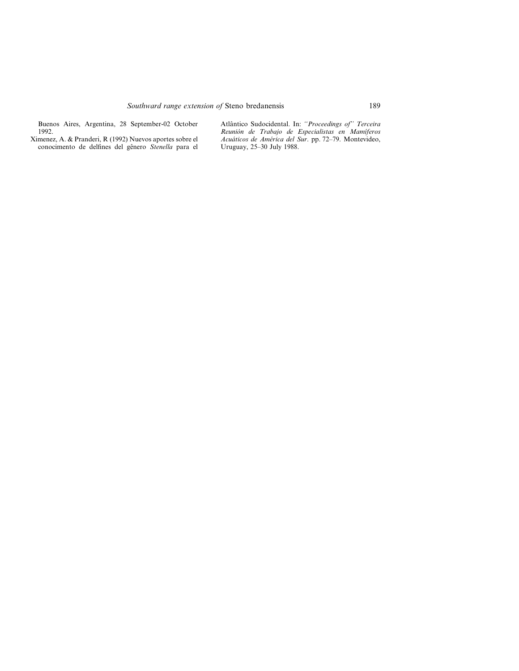Buenos Aires, Argentina, 28 September-02 October 1992.

Ximenez, A. & Pranderi, R (1992) Nuevos aportes sobre el conocimento de delfines del gênero *Stenella* para el Atlântico Sudocidental. In: *''Proceedings of'' Terceira Reunión de Trabajo de Especialistas en Mamı´feros Acuáticos de América del Sur*. pp. 72–79. Montevideo, Uruguay, 25–30 July 1988.